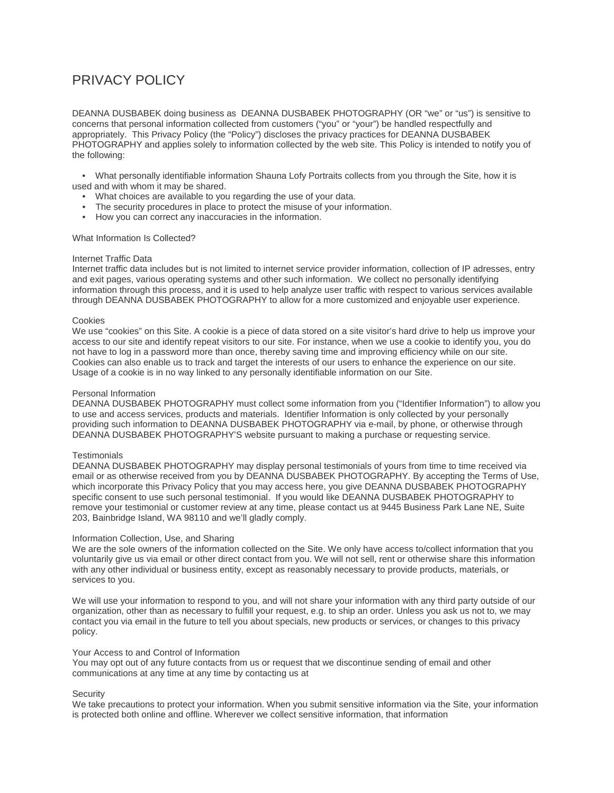# PRIVACY POLICY

DEANNA DUSBABEK doing business as DEANNA DUSBABEK PHOTOGRAPHY (OR "we" or "us") is sensitive to concerns that personal information collected from customers ("you" or "your") be handled respectfully and appropriately. This Privacy Policy (the "Policy") discloses the privacy practices for DEANNA DUSBABEK PHOTOGRAPHY and applies solely to information collected by the web site. This Policy is intended to notify you of the following:

 • What personally identifiable information Shauna Lofy Portraits collects from you through the Site, how it is used and with whom it may be shared.

- What choices are available to you regarding the use of your data.
- The security procedures in place to protect the misuse of your information.
- How you can correct any inaccuracies in the information.

## What Information Is Collected?

## Internet Traffic Data

Internet traffic data includes but is not limited to internet service provider information, collection of IP adresses, entry and exit pages, various operating systems and other such information. We collect no personally identifying information through this process, and it is used to help analyze user traffic with respect to various services available through DEANNA DUSBABEK PHOTOGRAPHY to allow for a more customized and enjoyable user experience.

## Cookies

We use "cookies" on this Site. A cookie is a piece of data stored on a site visitor's hard drive to help us improve your access to our site and identify repeat visitors to our site. For instance, when we use a cookie to identify you, you do not have to log in a password more than once, thereby saving time and improving efficiency while on our site. Cookies can also enable us to track and target the interests of our users to enhance the experience on our site. Usage of a cookie is in no way linked to any personally identifiable information on our Site.

## Personal Information

DEANNA DUSBABEK PHOTOGRAPHY must collect some information from you ("Identifier Information") to allow you to use and access services, products and materials. Identifier Information is only collected by your personally providing such information to DEANNA DUSBABEK PHOTOGRAPHY via e-mail, by phone, or otherwise through DEANNA DUSBABEK PHOTOGRAPHY'S website pursuant to making a purchase or requesting service.

#### **Testimonials**

DEANNA DUSBABEK PHOTOGRAPHY may display personal testimonials of yours from time to time received via email or as otherwise received from you by DEANNA DUSBABEK PHOTOGRAPHY. By accepting the Terms of Use, which incorporate this Privacy Policy that you may access here, you give DEANNA DUSBABEK PHOTOGRAPHY specific consent to use such personal testimonial. If you would like DEANNA DUSBABEK PHOTOGRAPHY to remove your testimonial or customer review at any time, please contact us at 9445 Business Park Lane NE, Suite 203, Bainbridge Island, WA 98110 and we'll gladly comply.

## Information Collection, Use, and Sharing

We are the sole owners of the information collected on the Site. We only have access to/collect information that you voluntarily give us via email or other direct contact from you. We will not sell, rent or otherwise share this information with any other individual or business entity, except as reasonably necessary to provide products, materials, or services to you.

We will use your information to respond to you, and will not share your information with any third party outside of our organization, other than as necessary to fulfill your request, e.g. to ship an order. Unless you ask us not to, we may contact you via email in the future to tell you about specials, new products or services, or changes to this privacy policy.

## Your Access to and Control of Information

You may opt out of any future contacts from us or request that we discontinue sending of email and other communications at any time at any time by contacting us at

## **Security**

We take precautions to protect your information. When you submit sensitive information via the Site, your information is protected both online and offline. Wherever we collect sensitive information, that information